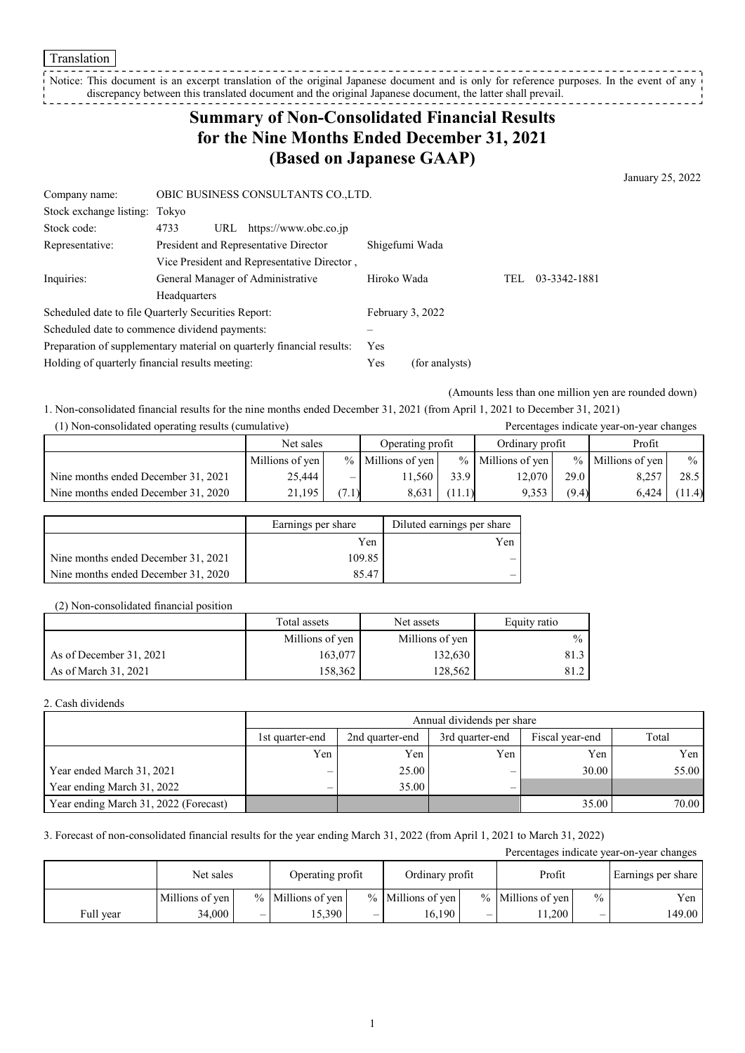Notice: This document is an excerpt translation of the original Japanese document and is only for reference purposes. In the event of any discrepancy between this translated document and the original Japanese document, the latter shall prevail. . . . . . . . . . . . . .

# **Summary of Non-Consolidated Financial Results for the Nine Months Ended December 31, 2021 (Based on Japanese GAAP)**

January 25, 2022

| Company name:                                                         |              |     | OBIC BUSINESS CONSULTANTS CO., LTD.         |                  |  |     |              |
|-----------------------------------------------------------------------|--------------|-----|---------------------------------------------|------------------|--|-----|--------------|
| Stock exchange listing: Tokyo                                         |              |     |                                             |                  |  |     |              |
| Stock code:                                                           | 4733         |     | URL https://www.obc.co.jp                   |                  |  |     |              |
| Representative:                                                       |              |     | President and Representative Director       | Shigefumi Wada   |  |     |              |
|                                                                       |              |     | Vice President and Representative Director, |                  |  |     |              |
| Inquiries:                                                            |              |     | General Manager of Administrative           | Hiroko Wada      |  | TEL | 03-3342-1881 |
|                                                                       | Headquarters |     |                                             |                  |  |     |              |
| Scheduled date to file Quarterly Securities Report:                   |              |     |                                             | February 3, 2022 |  |     |              |
| Scheduled date to commence dividend payments:                         |              |     |                                             |                  |  |     |              |
| Preparation of supplementary material on quarterly financial results: |              | Yes |                                             |                  |  |     |              |
| Holding of quarterly financial results meeting:                       |              |     | Yes                                         | (for analysts)   |  |     |              |

(Amounts less than one million yen are rounded down)

1. Non-consolidated financial results for the nine months ended December 31, 2021 (from April 1, 2021 to December 31, 2021)

| (1) Non-consolidated operating results (cumulative) |                 |                          |                     |                 |                     |       | Percentages indicate year-on-year changes |       |
|-----------------------------------------------------|-----------------|--------------------------|---------------------|-----------------|---------------------|-------|-------------------------------------------|-------|
|                                                     | Net sales       |                          | Operating profit    | Ordinary profit |                     |       | Profit                                    |       |
|                                                     | Millions of yen |                          | $%$ Millions of yen |                 | $%$ Millions of yen |       | % Millions of yen                         | $\%$  |
| Nine months ended December 31, 2021                 | 25,444          | $\overline{\phantom{0}}$ | 1.560               | 33.9            | 12.070              | 29.0  | 8,257                                     | 28.5  |
| Nine months ended December 31, 2020                 | 21,195          | (7.1)                    | 8.631               | (11.1)          | 9.353               | (9.4) | 6.424                                     | 11.4) |

|                                     | Earnings per share | Diluted earnings per share |
|-------------------------------------|--------------------|----------------------------|
|                                     | Yen                | Yen                        |
| Nine months ended December 31, 2021 | 109.85             |                            |
| Nine months ended December 31, 2020 | 85.47              |                            |

#### (2) Non-consolidated financial position

|                         | Total assets    | Net assets      | Equity ratio  |
|-------------------------|-----------------|-----------------|---------------|
|                         | Millions of yen | Millions of yen | $\frac{0}{0}$ |
| As of December 31, 2021 | 163.077         | 132,630         | 81.3          |
| As of March 31, 2021    | 158,362         | 128.562         | 81.2          |

2. Cash dividends

|                                       | Annual dividends per share |                 |                 |                 |       |  |  |
|---------------------------------------|----------------------------|-----------------|-----------------|-----------------|-------|--|--|
|                                       | 1st quarter-end            | 2nd quarter-end | 3rd quarter-end | Fiscal year-end | Total |  |  |
|                                       | Yen                        | Yen             | Yen             | Yen             | Yen   |  |  |
| Year ended March 31, 2021             | —                          | 25.00           | –               | 30.00           | 55.00 |  |  |
| Year ending March 31, 2022            | —                          | 35.00           | –               |                 |       |  |  |
| Year ending March 31, 2022 (Forecast) |                            |                 |                 | 35.00           | 70.00 |  |  |

3. Forecast of non-consolidated financial results for the year ending March 31, 2022 (from April 1, 2021 to March 31, 2022)

| Percentages indicate year-on-year changes |                 |   |                   |   |                     |   |                     |               |                    |
|-------------------------------------------|-----------------|---|-------------------|---|---------------------|---|---------------------|---------------|--------------------|
|                                           | Net sales       |   | Operating profit  |   | Ordinary profit     |   | Profit              |               | Earnings per share |
|                                           | Millions of yen |   | % Millions of yen |   | $%$ Millions of yen |   | $%$ Millions of yen | $\frac{0}{0}$ | Yen                |
| Full vear                                 | 34.000          | _ | 5.390             | _ | 16.190              | – | 1.200               | _             | 149.00             |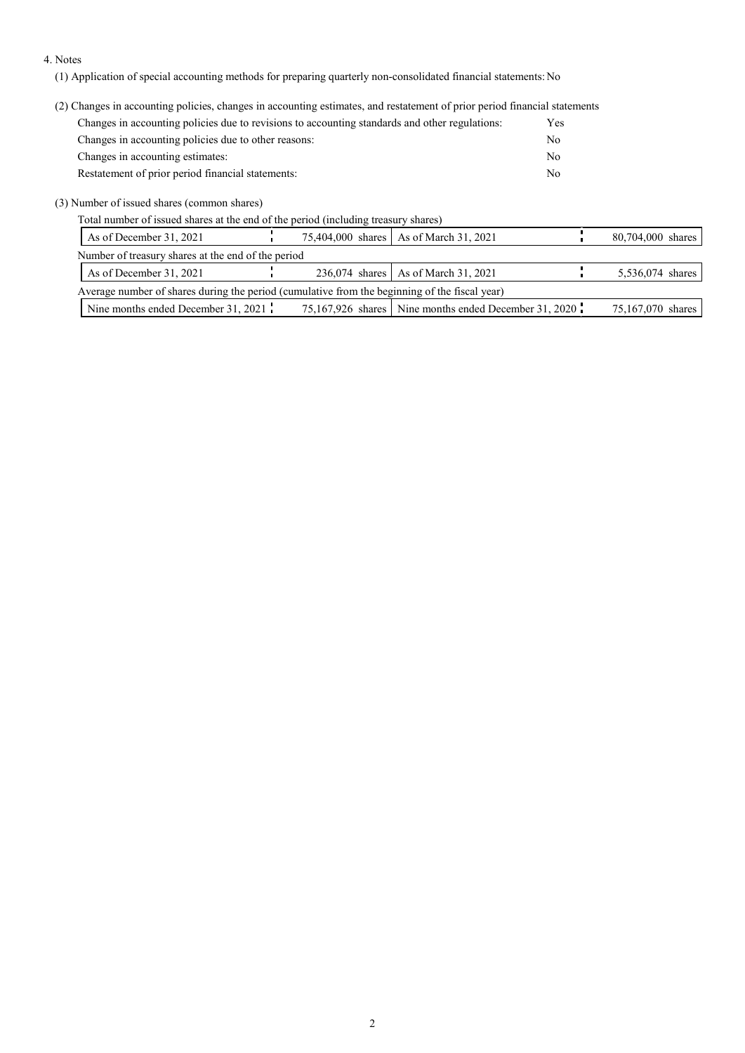#### 4. Notes

(1) Application of special accounting methods for preparing quarterly non-consolidated financial statements: No

(2) Changes in accounting policies, changes in accounting estimates, and restatement of prior period financial statements

| Changes in accounting policies due to revisions to accounting standards and other regulations: | Yes |
|------------------------------------------------------------------------------------------------|-----|
| Changes in accounting policies due to other reasons:                                           | No  |
| Changes in accounting estimates:                                                               | No  |
| Restatement of prior period financial statements:                                              | No  |

(3) Number of issued shares (common shares)

Total number of issued shares at the end of the period (including treasury shares)

| As of December 31, 2021                                                                       |  |  |  | 75,404,000 shares   As of March 31, 2021              |  | 80,704,000 shares |  |
|-----------------------------------------------------------------------------------------------|--|--|--|-------------------------------------------------------|--|-------------------|--|
| Number of treasury shares at the end of the period                                            |  |  |  |                                                       |  |                   |  |
| As of December 31, 2021                                                                       |  |  |  | 236,074 shares   As of March 31, 2021                 |  | 5,536,074 shares  |  |
| Average number of shares during the period (cumulative from the beginning of the fiscal year) |  |  |  |                                                       |  |                   |  |
| Nine months ended December 31, 2021                                                           |  |  |  | 75,167,926 shares Nine months ended December 31, 2020 |  | 75,167,070 shares |  |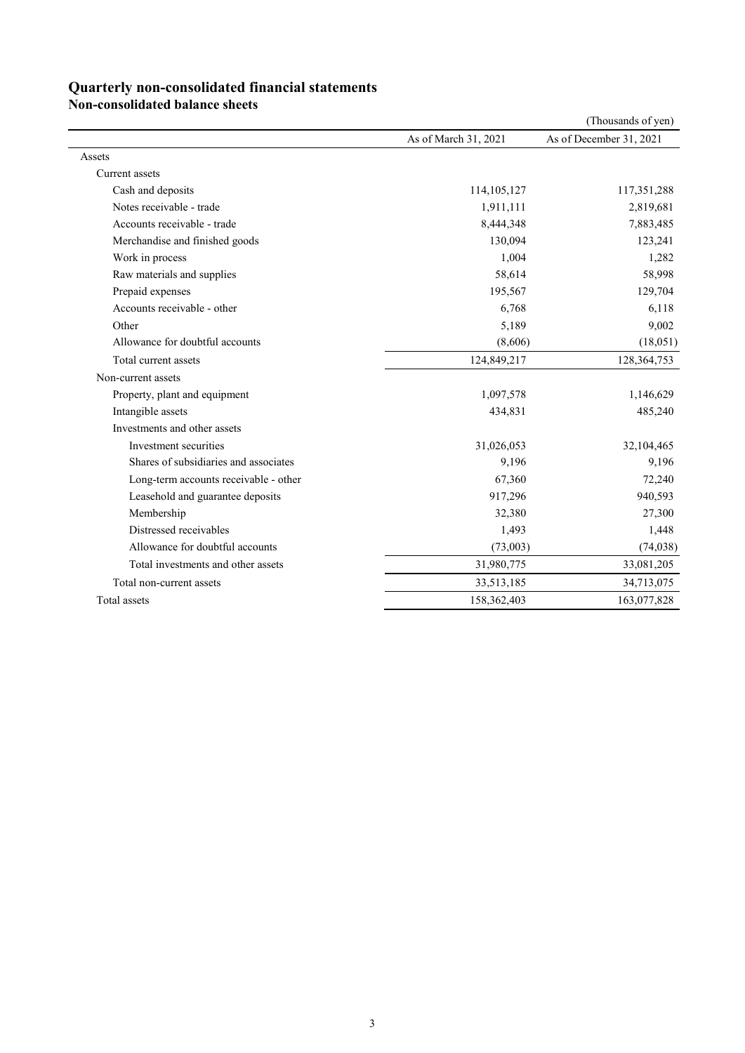### **Quarterly non-consolidated financial statements**

**Non-consolidated balance sheets**

|                                       |                      | (Thousands of yen)      |
|---------------------------------------|----------------------|-------------------------|
|                                       | As of March 31, 2021 | As of December 31, 2021 |
| Assets                                |                      |                         |
| Current assets                        |                      |                         |
| Cash and deposits                     | 114,105,127          | 117,351,288             |
| Notes receivable - trade              | 1,911,111            | 2,819,681               |
| Accounts receivable - trade           | 8,444,348            | 7,883,485               |
| Merchandise and finished goods        | 130,094              | 123,241                 |
| Work in process                       | 1,004                | 1,282                   |
| Raw materials and supplies            | 58,614               | 58,998                  |
| Prepaid expenses                      | 195,567              | 129,704                 |
| Accounts receivable - other           | 6,768                | 6,118                   |
| Other                                 | 5,189                | 9,002                   |
| Allowance for doubtful accounts       | (8,606)              | (18,051)                |
| Total current assets                  | 124,849,217          | 128,364,753             |
| Non-current assets                    |                      |                         |
| Property, plant and equipment         | 1,097,578            | 1,146,629               |
| Intangible assets                     | 434,831              | 485,240                 |
| Investments and other assets          |                      |                         |
| Investment securities                 | 31,026,053           | 32,104,465              |
| Shares of subsidiaries and associates | 9,196                | 9,196                   |
| Long-term accounts receivable - other | 67,360               | 72,240                  |
| Leasehold and guarantee deposits      | 917,296              | 940,593                 |
| Membership                            | 32,380               | 27,300                  |
| Distressed receivables                | 1,493                | 1,448                   |
| Allowance for doubtful accounts       | (73,003)             | (74, 038)               |
| Total investments and other assets    | 31,980,775           | 33,081,205              |
| Total non-current assets              | 33,513,185           | 34,713,075              |
| Total assets                          | 158,362,403          | 163,077,828             |
|                                       |                      |                         |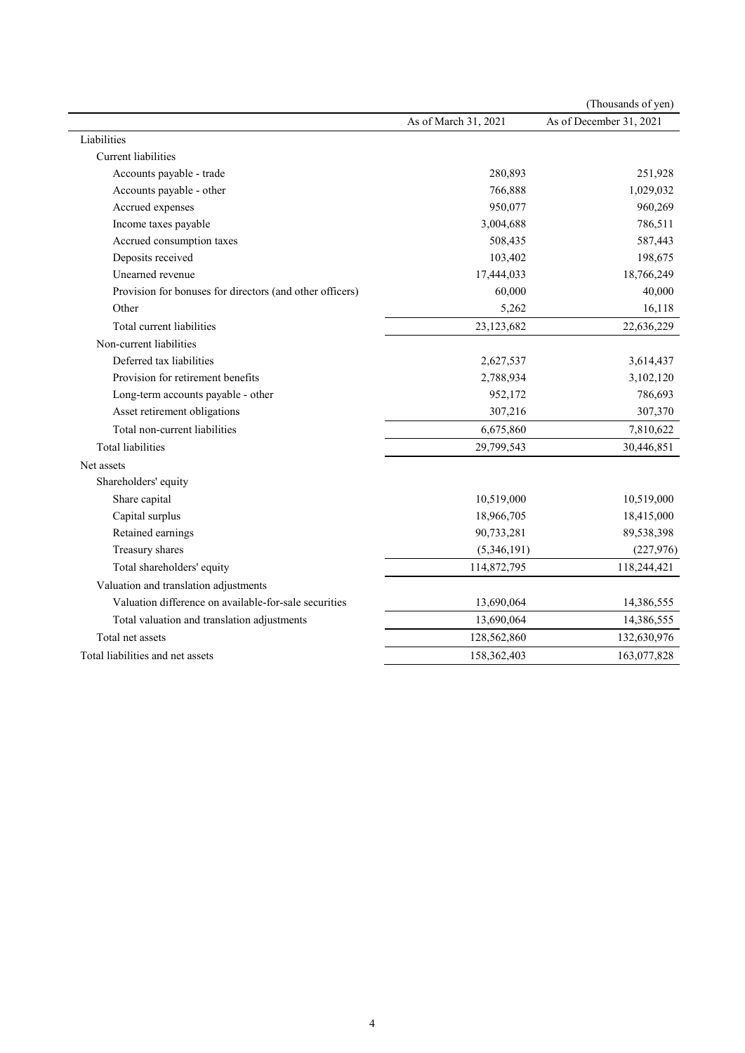|                                                          |                      | (Thousands of yen)      |
|----------------------------------------------------------|----------------------|-------------------------|
|                                                          | As of March 31, 2021 | As of December 31, 2021 |
| Liabilities                                              |                      |                         |
| <b>Current</b> liabilities                               |                      |                         |
| Accounts payable - trade                                 | 280,893              | 251,928                 |
| Accounts payable - other                                 | 766,888              | 1,029,032               |
| Accrued expenses                                         | 950,077              | 960,269                 |
| Income taxes payable                                     | 3,004,688            | 786,511                 |
| Accrued consumption taxes                                | 508,435              | 587,443                 |
| Deposits received                                        | 103,402              | 198,675                 |
| Unearned revenue                                         | 17,444,033           | 18,766,249              |
| Provision for bonuses for directors (and other officers) | 60,000               | 40,000                  |
| Other                                                    | 5,262                | 16,118                  |
| Total current liabilities                                | 23,123,682           | 22,636,229              |
| Non-current liabilities                                  |                      |                         |
| Deferred tax liabilities                                 | 2,627,537            | 3,614,437               |
| Provision for retirement benefits                        | 2,788,934            | 3,102,120               |
| Long-term accounts payable - other                       | 952,172              | 786,693                 |
| Asset retirement obligations                             | 307,216              | 307,370                 |
| Total non-current liabilities                            | 6,675,860            | 7,810,622               |
| Total liabilities                                        | 29,799,543           | 30,446,851              |
| Net assets                                               |                      |                         |
| Shareholders' equity                                     |                      |                         |
| Share capital                                            | 10,519,000           | 10,519,000              |
| Capital surplus                                          | 18,966,705           | 18,415,000              |
| Retained earnings                                        | 90,733,281           | 89,538,398              |
| Treasury shares                                          | (5,346,191)          | (227, 976)              |
| Total shareholders' equity                               | 114,872,795          | 118,244,421             |
| Valuation and translation adjustments                    |                      |                         |
| Valuation difference on available-for-sale securities    | 13,690,064           | 14,386,555              |
| Total valuation and translation adjustments              | 13,690,064           | 14,386,555              |
| Total net assets                                         | 128,562,860          | 132,630,976             |
| Total liabilities and net assets                         | 158,362,403          | 163,077,828             |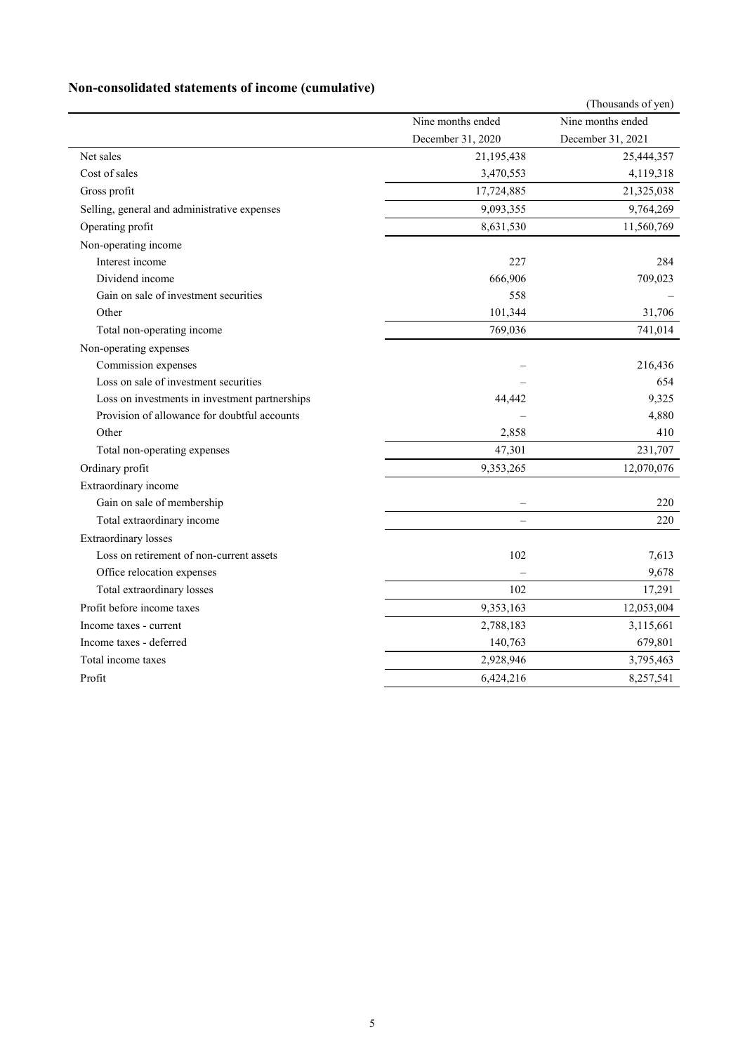## **Non-consolidated statements of income (cumulative)**

|                                                |                          | (Thousands of yen) |
|------------------------------------------------|--------------------------|--------------------|
|                                                | Nine months ended        | Nine months ended  |
|                                                | December 31, 2020        | December 31, 2021  |
| Net sales                                      | 21,195,438               | 25,444,357         |
| Cost of sales                                  | 3,470,553                | 4,119,318          |
| Gross profit                                   | 17,724,885               | 21,325,038         |
| Selling, general and administrative expenses   | 9,093,355                | 9,764,269          |
| Operating profit                               | 8,631,530                | 11,560,769         |
| Non-operating income                           |                          |                    |
| Interest income                                | 227                      | 284                |
| Dividend income                                | 666,906                  | 709,023            |
| Gain on sale of investment securities          | 558                      |                    |
| Other                                          | 101,344                  | 31,706             |
| Total non-operating income                     | 769,036                  | 741,014            |
| Non-operating expenses                         |                          |                    |
| Commission expenses                            |                          | 216,436            |
| Loss on sale of investment securities          |                          | 654                |
| Loss on investments in investment partnerships | 44,442                   | 9,325              |
| Provision of allowance for doubtful accounts   |                          | 4,880              |
| Other                                          | 2,858                    | 410                |
| Total non-operating expenses                   | 47,301                   | 231,707            |
| Ordinary profit                                | 9,353,265                | 12,070,076         |
| Extraordinary income                           |                          |                    |
| Gain on sale of membership                     | $\overline{\phantom{0}}$ | 220                |
| Total extraordinary income                     |                          | 220                |
| <b>Extraordinary</b> losses                    |                          |                    |
| Loss on retirement of non-current assets       | 102                      | 7,613              |
| Office relocation expenses                     |                          | 9,678              |
| Total extraordinary losses                     | 102                      | 17,291             |
| Profit before income taxes                     | 9,353,163                | 12,053,004         |
| Income taxes - current                         | 2,788,183                | 3,115,661          |
| Income taxes - deferred                        | 140,763                  | 679,801            |
| Total income taxes                             | 2,928,946                | 3,795,463          |
| Profit                                         | 6,424,216                | 8,257,541          |
|                                                |                          |                    |